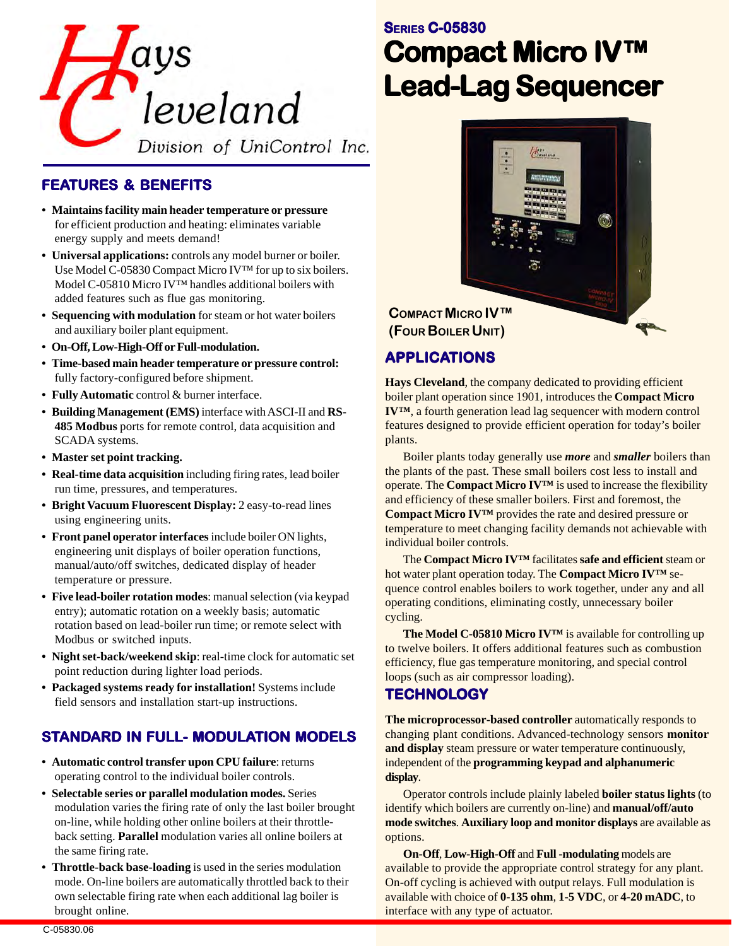

### **FEATURES & BENEFITS**

- **Maintains facility main header temperature or pressure** for efficient production and heating: eliminates variable energy supply and meets demand!
- **Universal applications:** controls any model burner or boiler. Use Model C-05830 Compact Micro IV™ for up to six boilers. Model C-05810 Micro IV™ handles additional boilers with added features such as flue gas monitoring.
- **Sequencing with modulation** for steam or hot water boilers and auxiliary boiler plant equipment.
- **On-Off, Low-High-Off or Full-modulation.**
- **Time-based main header temperature or pressure control:** fully factory-configured before shipment.
- **Fully Automatic** control & burner interface.
- **Building Management (EMS)** interface with ASCI-II and **RS-485 Modbus** ports for remote control, data acquisition and SCADA systems.
- **Master set point tracking.**
- **Real-time data acquisition** including firing rates, lead boiler run time, pressures, and temperatures.
- **Bright Vacuum Fluorescent Display:** 2 easy-to-read lines using engineering units.
- **Front panel operator interfaces** include boiler ON lights, engineering unit displays of boiler operation functions, manual/auto/off switches, dedicated display of header temperature or pressure.
- **Five lead-boiler rotation modes**: manual selection (via keypad entry); automatic rotation on a weekly basis; automatic rotation based on lead-boiler run time; or remote select with Modbus or switched inputs.
- **Night set-back/weekend skip**: real-time clock for automatic set point reduction during lighter load periods.
- **Packaged systems ready for installation!** Systems include field sensors and installation start-up instructions.

### **STANDARD IN FULL- MODULATION MODELS**

- **Automatic control transfer upon CPU failure**: returns operating control to the individual boiler controls.
- **Selectable series or parallel modulation modes.** Series modulation varies the firing rate of only the last boiler brought on-line, while holding other online boilers at their throttleback setting. **Parallel** modulation varies all online boilers at the same firing rate.
- **Throttle-back base-loading** is used in the series modulation mode. On-line boilers are automatically throttled back to their own selectable firing rate when each additional lag boiler is brought online.

# **SERIES C-05830 Compact Micr Compact Micro IV™ Lead-Lag Sequencer Lead-Lag Sequencer**



**COMPACT MICRO IV™ (FOUR BOILER UNIT)**

### **APPLICA APPLICATIONS**

**Hays Cleveland**, the company dedicated to providing efficient boiler plant operation since 1901, introduces the **Compact Micro IV™**, a fourth generation lead lag sequencer with modern control features designed to provide efficient operation for today's boiler plants.

Boiler plants today generally use *more* and *smaller* boilers than the plants of the past. These small boilers cost less to install and operate. The **Compact Micro IV™** is used to increase the flexibility and efficiency of these smaller boilers. First and foremost, the **Compact Micro IV™** provides the rate and desired pressure or temperature to meet changing facility demands not achievable with individual boiler controls.

The **Compact Micro IV™** facilitates **safe and efficient** steam or hot water plant operation today. The **Compact Micro IV™** sequence control enables boilers to work together, under any and all operating conditions, eliminating costly, unnecessary boiler cycling.

**The Model C-05810 Micro IV™** is available for controlling up to twelve boilers. It offers additional features such as combustion efficiency, flue gas temperature monitoring, and special control loops (such as air compressor loading).

#### **TECHNOLOGY**

**The microprocessor-based controller** automatically responds to changing plant conditions. Advanced-technology sensors **monitor and display** steam pressure or water temperature continuously, independent of the **programming keypad and alphanumeric display**.

Operator controls include plainly labeled **boiler status lights** (to identify which boilers are currently on-line) and **manual/off/auto mode switches**. **Auxiliary loop and monitor displays** are available as options.

**On-Off**, **Low-High-Off** and **Full -modulating** models are available to provide the appropriate control strategy for any plant. On-off cycling is achieved with output relays. Full modulation is available with choice of **0-135 ohm**, **1-5 VDC**, or **4-20 mADC**, to interface with any type of actuator.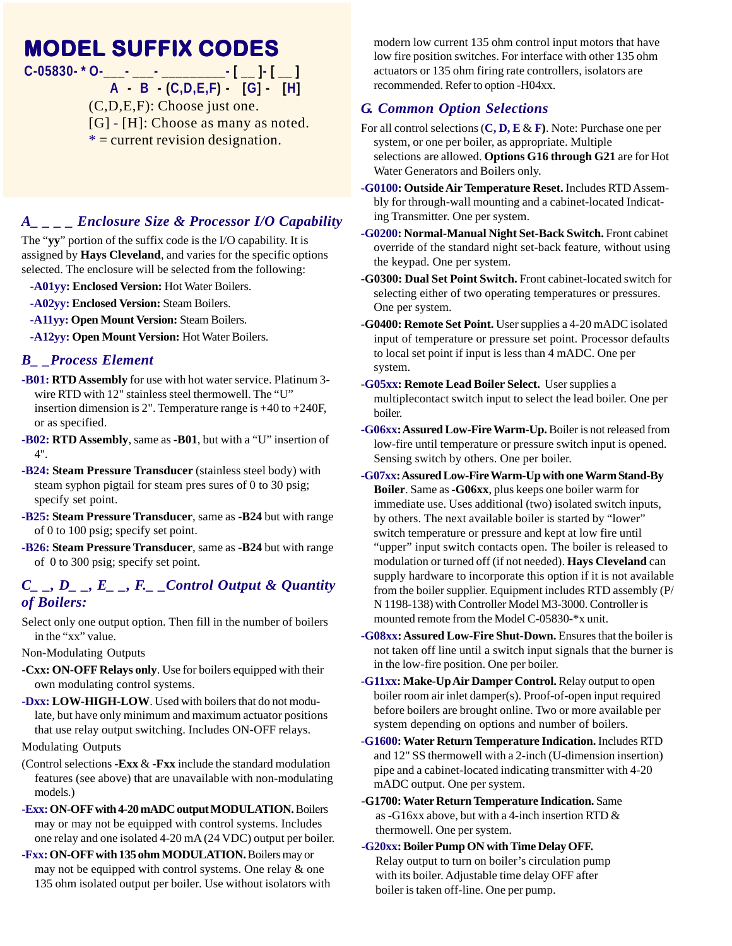# **MODEL SUFFIX CODES**

**C-05830- \* O-\_\_\_- \_\_\_- \_\_\_\_\_\_\_\_\_- [ \_\_ ]- [ \_\_ ]**

 **A - B - (C,D,E,F) - [G] - [H]** (C,D,E,F): Choose just one. [G] - [H]: Choose as many as noted.  $* =$  current revision designation.

#### *A\_ \_ \_ \_ Enclosure Size & Processor I/O Capability*

The "**yy**" portion of the suffix code is the I/O capability. It is assigned by **Hays Cleveland**, and varies for the specific options selected. The enclosure will be selected from the following:

- **-A01yy: Enclosed Version:** Hot Water Boilers.
- **-A02yy: Enclosed Version:** Steam Boilers.
- **-A11yy: Open Mount Version: Steam Boilers.**

**-A12yy: Open Mount Version:** Hot Water Boilers.

#### *B\_ \_Process Element*

- **-B01: RTD Assembly** for use with hot water service. Platinum 3 wire RTD with 12" stainless steel thermowell. The "U" insertion dimension is 2". Temperature range is +40 to +240F, or as specified.
- **-B02: RTD Assembly**, same as **-B01**, but with a "U" insertion of 4".
- **-B24: Steam Pressure Transducer** (stainless steel body) with steam syphon pigtail for steam pres sures of 0 to 30 psig; specify set point.
- **-B25: Steam Pressure Transducer**, same as **-B24** but with range of 0 to 100 psig; specify set point.
- **-B26: Steam Pressure Transducer**, same as **-B24** but with range of 0 to 300 psig; specify set point.

#### $C_$ , *D<sub>\_</sub>, E<sub>\_</sub>, F<sub>r</sub> Control Output & Quantity of Boilers:*

Select only one output option. Then fill in the number of boilers in the "xx" value.

Non-Modulating Outputs

- **-Cxx: ON-OFF Relays only**. Use for boilers equipped with their own modulating control systems.
- **-Dxx: LOW-HIGH-LOW**. Used with boilers that do not modulate, but have only minimum and maximum actuator positions that use relay output switching. Includes ON-OFF relays.

Modulating Outputs

- (Control selections **-Exx** & **-Fxx** include the standard modulation features (see above) that are unavailable with non-modulating models.)
- **-Exx: ON-OFF with 4-20 mADC output MODULATION.** Boilers may or may not be equipped with control systems. Includes one relay and one isolated 4-20 mA (24 VDC) output per boiler.
- **-Fxx: ON-OFF with 135 ohm MODULATION.** Boilers may or may not be equipped with control systems. One relay & one 135 ohm isolated output per boiler. Use without isolators with

modern low current 135 ohm control input motors that have low fire position switches. For interface with other 135 ohm actuators or 135 ohm firing rate controllers, isolators are recommended. Refer to option -H04xx.

#### *G. Common Option Selections*

- For all control selections (**C, D, E** & **F)**. Note: Purchase one per system, or one per boiler, as appropriate. Multiple selections are allowed. **Options G16 through G21** are for Hot Water Generators and Boilers only.
- **-G0100: Outside Air Temperature Reset.** Includes RTD Assembly for through-wall mounting and a cabinet-located Indicating Transmitter. One per system.
- **-G0200: Normal-Manual Night Set-Back Switch.** Front cabinet override of the standard night set-back feature, without using the keypad. One per system.
- **-G0300: Dual Set Point Switch.** Front cabinet-located switch for selecting either of two operating temperatures or pressures. One per system.
- **-G0400: Remote Set Point.** User supplies a 4-20 mADC isolated input of temperature or pressure set point. Processor defaults to local set point if input is less than 4 mADC. One per system.
- **-G05xx: Remote Lead Boiler Select.** User supplies a multiplecontact switch input to select the lead boiler. One per boiler.
- **-G06xx: Assured Low-Fire Warm-Up.** Boiler is not released from low-fire until temperature or pressure switch input is opened. Sensing switch by others. One per boiler.
- **-G07xx: Assured Low-Fire Warm-Up with one Warm Stand-By Boiler**. Same as **-G06xx**, plus keeps one boiler warm for immediate use. Uses additional (two) isolated switch inputs, by others. The next available boiler is started by "lower" switch temperature or pressure and kept at low fire until "upper" input switch contacts open. The boiler is released to modulation or turned off (if not needed). **Hays Cleveland** can supply hardware to incorporate this option if it is not available from the boiler supplier. Equipment includes RTD assembly (P/ N 1198-138) with Controller Model M3-3000. Controller is mounted remote from the Model C-05830-\*x unit.
- **-G08xx: Assured Low-Fire Shut-Down.** Ensures that the boiler is not taken off line until a switch input signals that the burner is in the low-fire position. One per boiler.
- **-G11xx: Make-Up Air Damper Control.** Relay output to open boiler room air inlet damper(s). Proof-of-open input required before boilers are brought online. Two or more available per system depending on options and number of boilers.
- **-G1600: Water Return Temperature Indication.** Includes RTD and 12" SS thermowell with a 2-inch (U-dimension insertion) pipe and a cabinet-located indicating transmitter with 4-20 mADC output. One per system.
- **-G1700: Water Return Temperature Indication.** Same as -G16xx above, but with a 4-inch insertion RTD & thermowell. One per system.
- **-G20xx: Boiler Pump ON with Time Delay OFF.** Relay output to turn on boiler's circulation pump with its boiler. Adjustable time delay OFF after boiler is taken off-line. One per pump.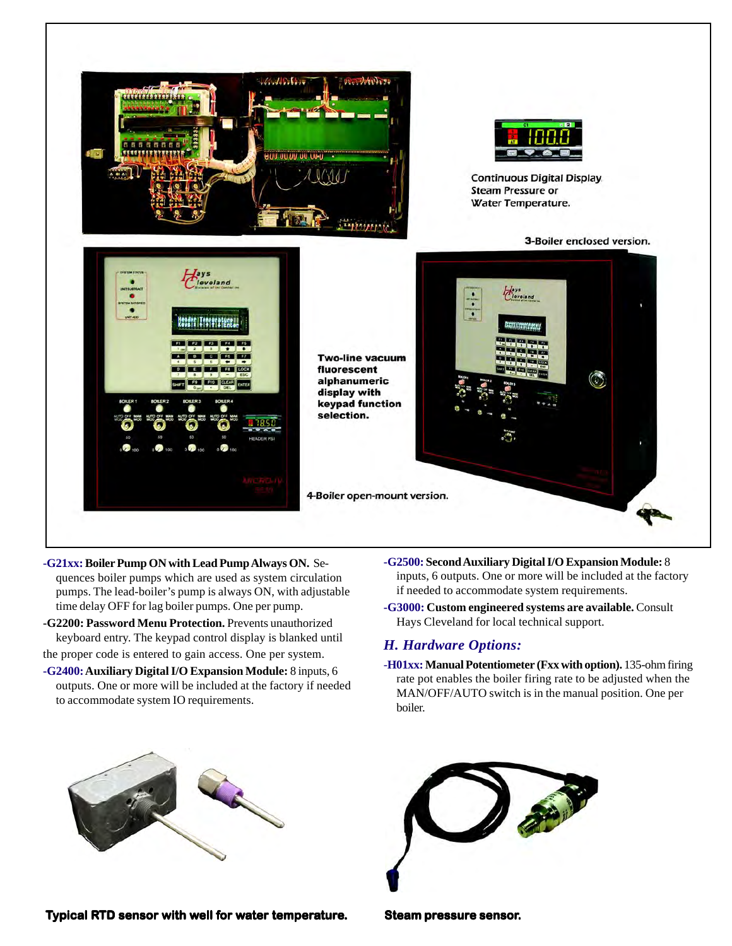

- **-G21xx: Boiler Pump ON with Lead Pump Always ON.** Sequences boiler pumps which are used as system circulation pumps. The lead-boiler's pump is always ON, with adjustable time delay OFF for lag boiler pumps. One per pump.
- **-G2200: Password Menu Protection.** Prevents unauthorized keyboard entry. The keypad control display is blanked until the proper code is entered to gain access. One per system.
- **-G2400: Auxiliary Digital I/O Expansion Module:** 8 inputs, 6 outputs. One or more will be included at the factory if needed to accommodate system IO requirements.
- **-G2500: Second Auxiliary Digital I/O Expansion Module:** 8 inputs, 6 outputs. One or more will be included at the factory if needed to accommodate system requirements.
- **-G3000: Custom engineered systems are available.** Consult Hays Cleveland for local technical support.

#### *H. Hardware Options:*

-**H01xx: Manual Potentiometer (Fxx with option).** 135-ohm firing rate pot enables the boiler firing rate to be adjusted when the MAN/OFF/AUTO switch is in the manual position. One per boiler.



**Typical RTD sensor with well for water temperature. Steam pressure sensor.**